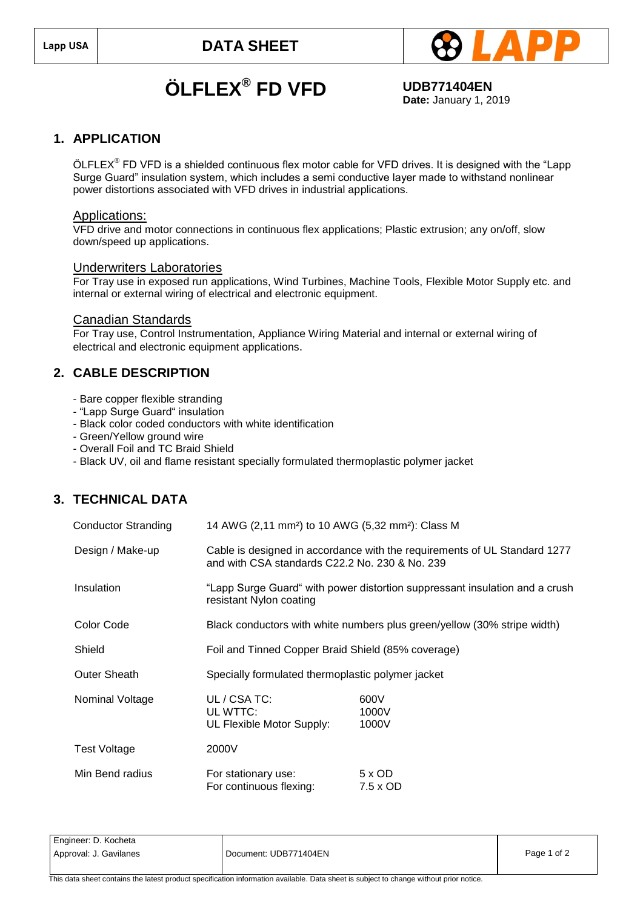

# **ÖLFLEX® FD VFD UDB771404EN**

**Date:** January 1, 2019

### **1. APPLICATION**

ÖLFLEX<sup>®</sup> FD VFD is a shielded continuous flex motor cable for VFD drives. It is designed with the "Lapp Surge Guard" insulation system, which includes a semi conductive layer made to withstand nonlinear power distortions associated with VFD drives in industrial applications.

#### Applications:

VFD drive and motor connections in continuous flex applications; Plastic extrusion; any on/off, slow down/speed up applications.

#### Underwriters Laboratories

For Tray use in exposed run applications, Wind Turbines, Machine Tools, Flexible Motor Supply etc. and internal or external wiring of electrical and electronic equipment.

#### Canadian Standards

For Tray use, Control Instrumentation, Appliance Wiring Material and internal or external wiring of electrical and electronic equipment applications.

## **2. CABLE DESCRIPTION**

- Bare copper flexible stranding
- "Lapp Surge Guard" insulation
- Black color coded conductors with white identification
- Green/Yellow ground wire
- Overall Foil and TC Braid Shield
- Black UV, oil and flame resistant specially formulated thermoplastic polymer jacket

## **3. TECHNICAL DATA**

| <b>Conductor Stranding</b> | 14 AWG (2,11 mm <sup>2</sup> ) to 10 AWG (5,32 mm <sup>2</sup> ): Class M |                                                                             |
|----------------------------|---------------------------------------------------------------------------|-----------------------------------------------------------------------------|
| Design / Make-up           | and with CSA standards C22.2 No. 230 & No. 239                            | Cable is designed in accordance with the requirements of UL Standard 1277   |
| Insulation                 | resistant Nylon coating                                                   | "Lapp Surge Guard" with power distortion suppressant insulation and a crush |
| Color Code                 | Black conductors with white numbers plus green/yellow (30% stripe width)  |                                                                             |
| Shield                     | Foil and Tinned Copper Braid Shield (85% coverage)                        |                                                                             |
| <b>Outer Sheath</b>        | Specially formulated thermoplastic polymer jacket                         |                                                                             |
| Nominal Voltage            | UL / CSA TC:<br>UL WTTC:<br>UL Flexible Motor Supply:                     | 600V<br>1000V<br>1000V                                                      |
| <b>Test Voltage</b>        | 2000V                                                                     |                                                                             |
| Min Bend radius            | For stationary use:<br>For continuous flexing:                            | $5 \times$ OD<br>7.5 x OD                                                   |

Engineer: D. Kocheta Approval: J. Gavilanes **Document: UDB771404EN** Page 1 of 2